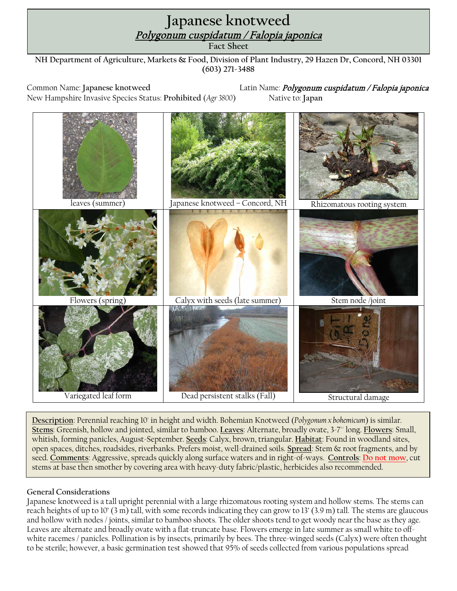## **Oriental bittersweet** Polygonum cuspidatum / Falopia japonica<br>Fast Shast **Japanese knotweed**

**Fact Sheet**

**NH Department of Agriculture, Markets & Food, Division of Plant Industry, 29 Hazen Dr, Concord, NH 03301 (603) 271-3488**

New Hampshire Invasive Species Status: Prohibited (*Agr* 3800) Native to: Japan

Common Name: **Japanese knotweed** Latin Name: Polygonum cuspidatum / Falopia japonica



**Description**: Perennial reaching 10' in height and width. Bohemian Knotweed (*Polygonum x bohemicum*) is similar. **Stems**: Greenish, hollow and jointed, similar to bamboo. **Leaves**: Alternate, broadly ovate, 3-7'' long. **Flowers**: Small, whitish, forming panicles, August-September. **Seeds**: Calyx, brown, triangular. **Habitat**: Found in woodland sites, open spaces, ditches, roadsides, riverbanks. Prefers moist, well-drained soils. **Spread**: Stem & root fragments, and by seed. **Comments**: Aggressive, spreads quickly along surface waters and in right-of-ways. **Controls**: **Do not mow**, cut stems at base then smother by covering area with heavy-duty fabric/plastic, herbicides also recommended.

## **General Considerations**

Japanese knotweed is a tall upright perennial with a large rhizomatous rooting system and hollow stems. The stems can reach heights of up to 10' (3 m) tall, with some records indicating they can grow to 13' (3.9 m) tall. The stems are glaucous and hollow with nodes / joints, similar to bamboo shoots. The older shoots tend to get woody near the base as they age. Leaves are alternate and broadly ovate with a flat-truncate base. Flowers emerge in late summer as small white to offwhite racemes / panicles. Pollination is by insects, primarily by bees. The three-winged seeds (Calyx) were often thought to be sterile; however, a basic germination test showed that 95% of seeds collected from various populations spread